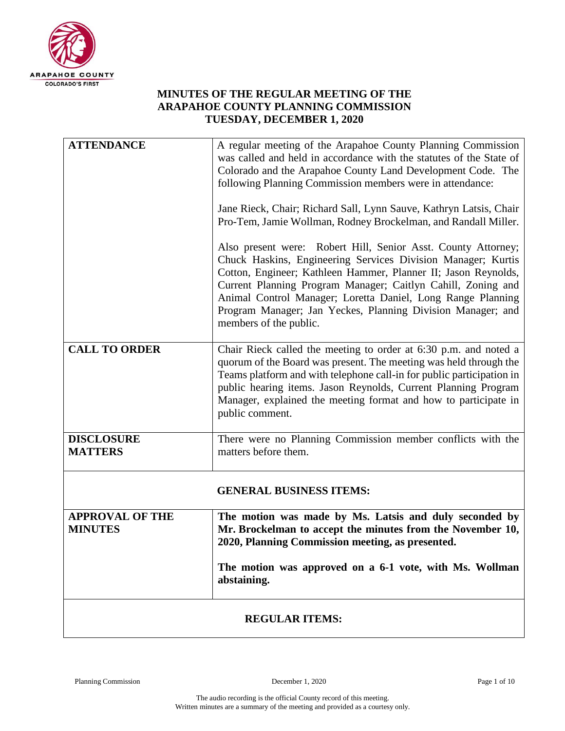

## **MINUTES OF THE REGULAR MEETING OF THE ARAPAHOE COUNTY PLANNING COMMISSION TUESDAY, DECEMBER 1, 2020**

| <b>ATTENDANCE</b>                        | A regular meeting of the Arapahoe County Planning Commission<br>was called and held in accordance with the statutes of the State of<br>Colorado and the Arapahoe County Land Development Code. The<br>following Planning Commission members were in attendance:<br>Jane Rieck, Chair; Richard Sall, Lynn Sauve, Kathryn Latsis, Chair<br>Pro-Tem, Jamie Wollman, Rodney Brockelman, and Randall Miller.                 |
|------------------------------------------|-------------------------------------------------------------------------------------------------------------------------------------------------------------------------------------------------------------------------------------------------------------------------------------------------------------------------------------------------------------------------------------------------------------------------|
|                                          | Also present were: Robert Hill, Senior Asst. County Attorney;<br>Chuck Haskins, Engineering Services Division Manager; Kurtis<br>Cotton, Engineer; Kathleen Hammer, Planner II; Jason Reynolds,<br>Current Planning Program Manager; Caitlyn Cahill, Zoning and<br>Animal Control Manager; Loretta Daniel, Long Range Planning<br>Program Manager; Jan Yeckes, Planning Division Manager; and<br>members of the public. |
| <b>CALL TO ORDER</b>                     | Chair Rieck called the meeting to order at 6:30 p.m. and noted a<br>quorum of the Board was present. The meeting was held through the<br>Teams platform and with telephone call-in for public participation in<br>public hearing items. Jason Reynolds, Current Planning Program<br>Manager, explained the meeting format and how to participate in<br>public comment.                                                  |
| <b>DISCLOSURE</b><br><b>MATTERS</b>      | There were no Planning Commission member conflicts with the<br>matters before them.                                                                                                                                                                                                                                                                                                                                     |
|                                          | <b>GENERAL BUSINESS ITEMS:</b>                                                                                                                                                                                                                                                                                                                                                                                          |
| <b>APPROVAL OF THE</b><br><b>MINUTES</b> | The motion was made by Ms. Latsis and duly seconded by<br>Mr. Brockelman to accept the minutes from the November 10,<br>2020, Planning Commission meeting, as presented.                                                                                                                                                                                                                                                |
|                                          | The motion was approved on a 6-1 vote, with Ms. Wollman<br>abstaining.                                                                                                                                                                                                                                                                                                                                                  |
| <b>REGULAR ITEMS:</b>                    |                                                                                                                                                                                                                                                                                                                                                                                                                         |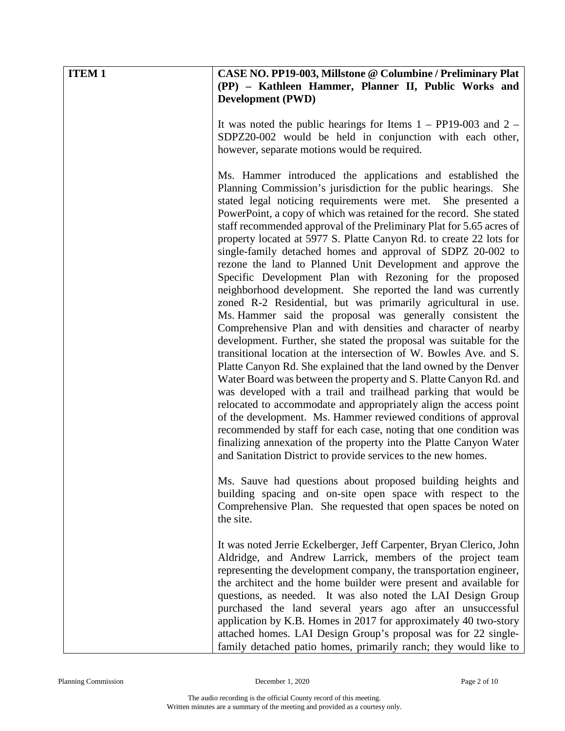| <b>ITEM1</b> | CASE NO. PP19-003, Millstone @ Columbine / Preliminary Plat<br>(PP) - Kathleen Hammer, Planner II, Public Works and<br><b>Development (PWD)</b>                                                                                                                                                                                                                                                                                                                                                                                                                                                                                                                                                                                                                                                                                                                                                                                                                                                                                                                                                                                                                                                                                                                                                                                                                                                                                                                                                                                                                                             |
|--------------|---------------------------------------------------------------------------------------------------------------------------------------------------------------------------------------------------------------------------------------------------------------------------------------------------------------------------------------------------------------------------------------------------------------------------------------------------------------------------------------------------------------------------------------------------------------------------------------------------------------------------------------------------------------------------------------------------------------------------------------------------------------------------------------------------------------------------------------------------------------------------------------------------------------------------------------------------------------------------------------------------------------------------------------------------------------------------------------------------------------------------------------------------------------------------------------------------------------------------------------------------------------------------------------------------------------------------------------------------------------------------------------------------------------------------------------------------------------------------------------------------------------------------------------------------------------------------------------------|
|              | It was noted the public hearings for Items $1 - PP19-003$ and $2 -$<br>SDPZ20-002 would be held in conjunction with each other,<br>however, separate motions would be required.                                                                                                                                                                                                                                                                                                                                                                                                                                                                                                                                                                                                                                                                                                                                                                                                                                                                                                                                                                                                                                                                                                                                                                                                                                                                                                                                                                                                             |
|              | Ms. Hammer introduced the applications and established the<br>Planning Commission's jurisdiction for the public hearings. She<br>stated legal noticing requirements were met.<br>She presented a<br>PowerPoint, a copy of which was retained for the record. She stated<br>staff recommended approval of the Preliminary Plat for 5.65 acres of<br>property located at 5977 S. Platte Canyon Rd. to create 22 lots for<br>single-family detached homes and approval of SDPZ 20-002 to<br>rezone the land to Planned Unit Development and approve the<br>Specific Development Plan with Rezoning for the proposed<br>neighborhood development. She reported the land was currently<br>zoned R-2 Residential, but was primarily agricultural in use.<br>Ms. Hammer said the proposal was generally consistent the<br>Comprehensive Plan and with densities and character of nearby<br>development. Further, she stated the proposal was suitable for the<br>transitional location at the intersection of W. Bowles Ave. and S.<br>Platte Canyon Rd. She explained that the land owned by the Denver<br>Water Board was between the property and S. Platte Canyon Rd. and<br>was developed with a trail and trailhead parking that would be<br>relocated to accommodate and appropriately align the access point<br>of the development. Ms. Hammer reviewed conditions of approval<br>recommended by staff for each case, noting that one condition was<br>finalizing annexation of the property into the Platte Canyon Water<br>and Sanitation District to provide services to the new homes. |
|              | Ms. Sauve had questions about proposed building heights and<br>building spacing and on-site open space with respect to the<br>Comprehensive Plan. She requested that open spaces be noted on<br>the site.                                                                                                                                                                                                                                                                                                                                                                                                                                                                                                                                                                                                                                                                                                                                                                                                                                                                                                                                                                                                                                                                                                                                                                                                                                                                                                                                                                                   |
|              | It was noted Jerrie Eckelberger, Jeff Carpenter, Bryan Clerico, John<br>Aldridge, and Andrew Larrick, members of the project team<br>representing the development company, the transportation engineer,<br>the architect and the home builder were present and available for<br>questions, as needed. It was also noted the LAI Design Group<br>purchased the land several years ago after an unsuccessful<br>application by K.B. Homes in 2017 for approximately 40 two-story<br>attached homes. LAI Design Group's proposal was for 22 single-<br>family detached patio homes, primarily ranch; they would like to                                                                                                                                                                                                                                                                                                                                                                                                                                                                                                                                                                                                                                                                                                                                                                                                                                                                                                                                                                        |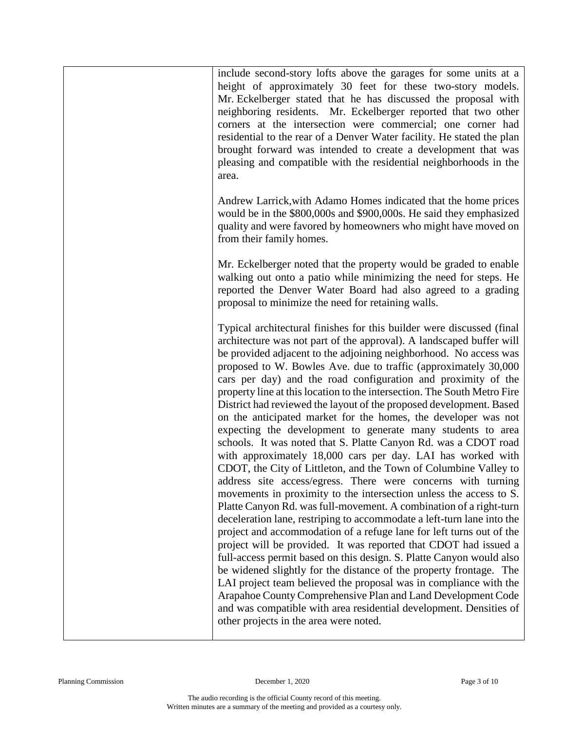| include second-story lofts above the garages for some units at a<br>height of approximately 30 feet for these two-story models.<br>Mr. Eckelberger stated that he has discussed the proposal with<br>neighboring residents. Mr. Eckelberger reported that two other<br>corners at the intersection were commercial; one corner had<br>residential to the rear of a Denver Water facility. He stated the plan<br>brought forward was intended to create a development that was<br>pleasing and compatible with the residential neighborhoods in the<br>area.                                                                                                                                                                                                                                                                                                                                                                                                                                                                                                                                                                                                                                                                                                                                                                                                                                                                                                                                                                                                                                                                                                                           |
|---------------------------------------------------------------------------------------------------------------------------------------------------------------------------------------------------------------------------------------------------------------------------------------------------------------------------------------------------------------------------------------------------------------------------------------------------------------------------------------------------------------------------------------------------------------------------------------------------------------------------------------------------------------------------------------------------------------------------------------------------------------------------------------------------------------------------------------------------------------------------------------------------------------------------------------------------------------------------------------------------------------------------------------------------------------------------------------------------------------------------------------------------------------------------------------------------------------------------------------------------------------------------------------------------------------------------------------------------------------------------------------------------------------------------------------------------------------------------------------------------------------------------------------------------------------------------------------------------------------------------------------------------------------------------------------|
| Andrew Larrick, with Adamo Homes indicated that the home prices<br>would be in the \$800,000s and \$900,000s. He said they emphasized<br>quality and were favored by homeowners who might have moved on<br>from their family homes.                                                                                                                                                                                                                                                                                                                                                                                                                                                                                                                                                                                                                                                                                                                                                                                                                                                                                                                                                                                                                                                                                                                                                                                                                                                                                                                                                                                                                                                   |
| Mr. Eckelberger noted that the property would be graded to enable<br>walking out onto a patio while minimizing the need for steps. He<br>reported the Denver Water Board had also agreed to a grading<br>proposal to minimize the need for retaining walls.                                                                                                                                                                                                                                                                                                                                                                                                                                                                                                                                                                                                                                                                                                                                                                                                                                                                                                                                                                                                                                                                                                                                                                                                                                                                                                                                                                                                                           |
| Typical architectural finishes for this builder were discussed (final<br>architecture was not part of the approval). A landscaped buffer will<br>be provided adjacent to the adjoining neighborhood. No access was<br>proposed to W. Bowles Ave. due to traffic (approximately 30,000<br>cars per day) and the road configuration and proximity of the<br>property line at this location to the intersection. The South Metro Fire<br>District had reviewed the layout of the proposed development. Based<br>on the anticipated market for the homes, the developer was not<br>expecting the development to generate many students to area<br>schools. It was noted that S. Platte Canyon Rd. was a CDOT road<br>with approximately 18,000 cars per day. LAI has worked with<br>CDOT, the City of Littleton, and the Town of Columbine Valley to<br>address site access/egress. There were concerns with turning<br>movements in proximity to the intersection unless the access to S.<br>Platte Canyon Rd. was full-movement. A combination of a right-turn<br>deceleration lane, restriping to accommodate a left-turn lane into the<br>project and accommodation of a refuge lane for left turns out of the<br>project will be provided. It was reported that CDOT had issued a<br>full-access permit based on this design. S. Platte Canyon would also<br>be widened slightly for the distance of the property frontage. The<br>LAI project team believed the proposal was in compliance with the<br>Arapahoe County Comprehensive Plan and Land Development Code<br>and was compatible with area residential development. Densities of<br>other projects in the area were noted. |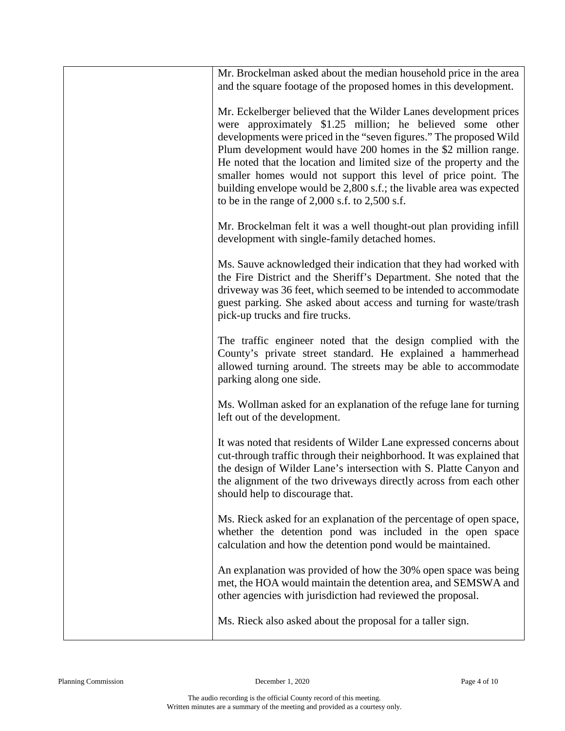| Mr. Brockelman asked about the median household price in the area<br>and the square footage of the proposed homes in this development.                                                                                                                                                                                                                                                                                                                                                                                                         |
|------------------------------------------------------------------------------------------------------------------------------------------------------------------------------------------------------------------------------------------------------------------------------------------------------------------------------------------------------------------------------------------------------------------------------------------------------------------------------------------------------------------------------------------------|
| Mr. Eckelberger believed that the Wilder Lanes development prices<br>were approximately \$1.25 million; he believed some other<br>developments were priced in the "seven figures." The proposed Wild<br>Plum development would have 200 homes in the \$2 million range.<br>He noted that the location and limited size of the property and the<br>smaller homes would not support this level of price point. The<br>building envelope would be 2,800 s.f.; the livable area was expected<br>to be in the range of $2,000$ s.f. to $2,500$ s.f. |
| Mr. Brockelman felt it was a well thought-out plan providing infill<br>development with single-family detached homes.                                                                                                                                                                                                                                                                                                                                                                                                                          |
| Ms. Sauve acknowledged their indication that they had worked with<br>the Fire District and the Sheriff's Department. She noted that the<br>driveway was 36 feet, which seemed to be intended to accommodate<br>guest parking. She asked about access and turning for waste/trash<br>pick-up trucks and fire trucks.                                                                                                                                                                                                                            |
| The traffic engineer noted that the design complied with the<br>County's private street standard. He explained a hammerhead<br>allowed turning around. The streets may be able to accommodate<br>parking along one side.                                                                                                                                                                                                                                                                                                                       |
| Ms. Wollman asked for an explanation of the refuge lane for turning<br>left out of the development.                                                                                                                                                                                                                                                                                                                                                                                                                                            |
| It was noted that residents of Wilder Lane expressed concerns about<br>cut-through traffic through their neighborhood. It was explained that<br>the design of Wilder Lane's intersection with S. Platte Canyon and<br>the alignment of the two driveways directly across from each other<br>should help to discourage that.                                                                                                                                                                                                                    |
| Ms. Rieck asked for an explanation of the percentage of open space,<br>whether the detention pond was included in the open space<br>calculation and how the detention pond would be maintained.                                                                                                                                                                                                                                                                                                                                                |
| An explanation was provided of how the 30% open space was being<br>met, the HOA would maintain the detention area, and SEMSWA and<br>other agencies with jurisdiction had reviewed the proposal.                                                                                                                                                                                                                                                                                                                                               |
| Ms. Rieck also asked about the proposal for a taller sign.                                                                                                                                                                                                                                                                                                                                                                                                                                                                                     |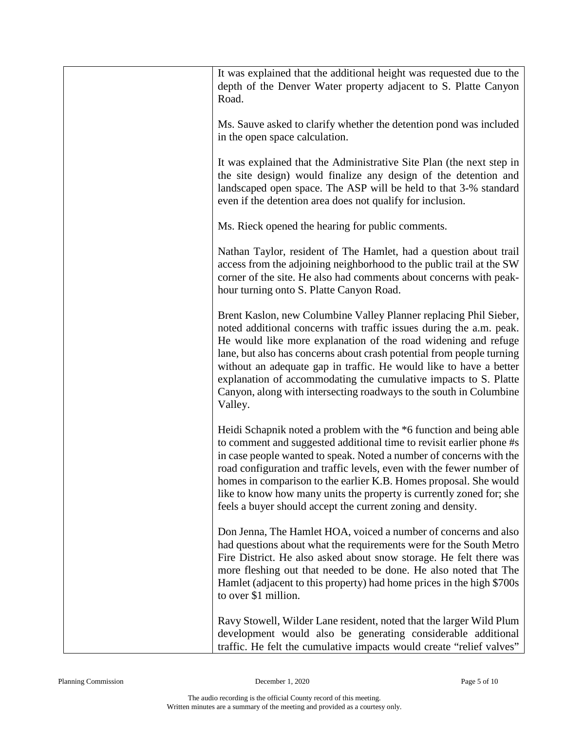| It was explained that the additional height was requested due to the<br>depth of the Denver Water property adjacent to S. Platte Canyon<br>Road.                                                                                                                                                                                                                                                                                                                                                               |
|----------------------------------------------------------------------------------------------------------------------------------------------------------------------------------------------------------------------------------------------------------------------------------------------------------------------------------------------------------------------------------------------------------------------------------------------------------------------------------------------------------------|
| Ms. Sauve asked to clarify whether the detention pond was included<br>in the open space calculation.                                                                                                                                                                                                                                                                                                                                                                                                           |
| It was explained that the Administrative Site Plan (the next step in<br>the site design) would finalize any design of the detention and<br>landscaped open space. The ASP will be held to that 3-% standard<br>even if the detention area does not qualify for inclusion.                                                                                                                                                                                                                                      |
| Ms. Rieck opened the hearing for public comments.                                                                                                                                                                                                                                                                                                                                                                                                                                                              |
| Nathan Taylor, resident of The Hamlet, had a question about trail<br>access from the adjoining neighborhood to the public trail at the SW<br>corner of the site. He also had comments about concerns with peak-<br>hour turning onto S. Platte Canyon Road.                                                                                                                                                                                                                                                    |
| Brent Kaslon, new Columbine Valley Planner replacing Phil Sieber,<br>noted additional concerns with traffic issues during the a.m. peak.<br>He would like more explanation of the road widening and refuge<br>lane, but also has concerns about crash potential from people turning<br>without an adequate gap in traffic. He would like to have a better<br>explanation of accommodating the cumulative impacts to S. Platte<br>Canyon, along with intersecting roadways to the south in Columbine<br>Valley. |
| Heidi Schapnik noted a problem with the *6 function and being able<br>to comment and suggested additional time to revisit earlier phone #s<br>in case people wanted to speak. Noted a number of concerns with the<br>road configuration and traffic levels, even with the fewer number of<br>homes in comparison to the earlier K.B. Homes proposal. She would<br>like to know how many units the property is currently zoned for; she<br>feels a buyer should accept the current zoning and density.          |
| Don Jenna, The Hamlet HOA, voiced a number of concerns and also<br>had questions about what the requirements were for the South Metro<br>Fire District. He also asked about snow storage. He felt there was<br>more fleshing out that needed to be done. He also noted that The<br>Hamlet (adjacent to this property) had home prices in the high \$700s<br>to over \$1 million.                                                                                                                               |
| Ravy Stowell, Wilder Lane resident, noted that the larger Wild Plum<br>development would also be generating considerable additional<br>traffic. He felt the cumulative impacts would create "relief valves"                                                                                                                                                                                                                                                                                                    |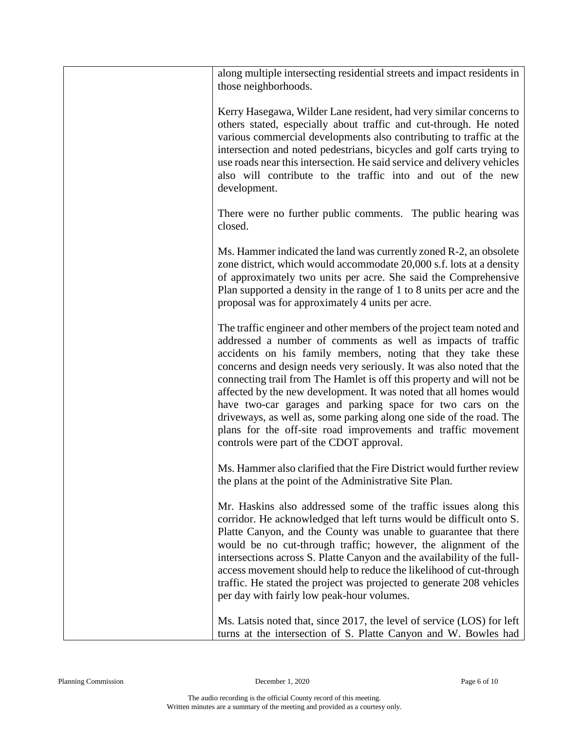| along multiple intersecting residential streets and impact residents in<br>those neighborhoods.                                                                                                                                                                                                                                                                                                                                                                                                                                                                                                                                                                               |
|-------------------------------------------------------------------------------------------------------------------------------------------------------------------------------------------------------------------------------------------------------------------------------------------------------------------------------------------------------------------------------------------------------------------------------------------------------------------------------------------------------------------------------------------------------------------------------------------------------------------------------------------------------------------------------|
| Kerry Hasegawa, Wilder Lane resident, had very similar concerns to<br>others stated, especially about traffic and cut-through. He noted<br>various commercial developments also contributing to traffic at the<br>intersection and noted pedestrians, bicycles and golf carts trying to<br>use roads near this intersection. He said service and delivery vehicles<br>also will contribute to the traffic into and out of the new<br>development.                                                                                                                                                                                                                             |
| There were no further public comments. The public hearing was<br>closed.                                                                                                                                                                                                                                                                                                                                                                                                                                                                                                                                                                                                      |
| Ms. Hammer indicated the land was currently zoned R-2, an obsolete<br>zone district, which would accommodate 20,000 s.f. lots at a density<br>of approximately two units per acre. She said the Comprehensive<br>Plan supported a density in the range of 1 to 8 units per acre and the<br>proposal was for approximately 4 units per acre.                                                                                                                                                                                                                                                                                                                                   |
| The traffic engineer and other members of the project team noted and<br>addressed a number of comments as well as impacts of traffic<br>accidents on his family members, noting that they take these<br>concerns and design needs very seriously. It was also noted that the<br>connecting trail from The Hamlet is off this property and will not be<br>affected by the new development. It was noted that all homes would<br>have two-car garages and parking space for two cars on the<br>driveways, as well as, some parking along one side of the road. The<br>plans for the off-site road improvements and traffic movement<br>controls were part of the CDOT approval. |
| Ms. Hammer also clarified that the Fire District would further review<br>the plans at the point of the Administrative Site Plan.                                                                                                                                                                                                                                                                                                                                                                                                                                                                                                                                              |
| Mr. Haskins also addressed some of the traffic issues along this<br>corridor. He acknowledged that left turns would be difficult onto S.<br>Platte Canyon, and the County was unable to guarantee that there<br>would be no cut-through traffic; however, the alignment of the<br>intersections across S. Platte Canyon and the availability of the full-<br>access movement should help to reduce the likelihood of cut-through<br>traffic. He stated the project was projected to generate 208 vehicles<br>per day with fairly low peak-hour volumes.                                                                                                                       |
| Ms. Latsis noted that, since 2017, the level of service (LOS) for left<br>turns at the intersection of S. Platte Canyon and W. Bowles had                                                                                                                                                                                                                                                                                                                                                                                                                                                                                                                                     |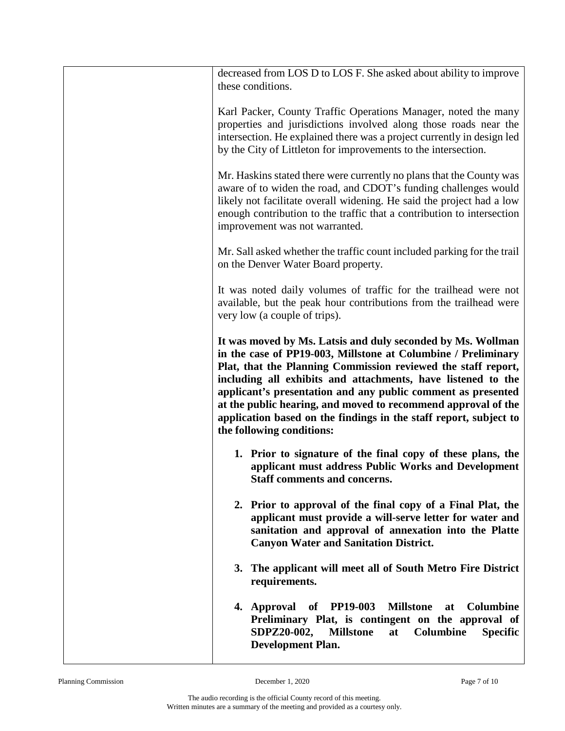| decreased from LOS D to LOS F. She asked about ability to improve<br>these conditions.                                                                                                                                                                                                                                                                                                                                                                                                           |
|--------------------------------------------------------------------------------------------------------------------------------------------------------------------------------------------------------------------------------------------------------------------------------------------------------------------------------------------------------------------------------------------------------------------------------------------------------------------------------------------------|
| Karl Packer, County Traffic Operations Manager, noted the many<br>properties and jurisdictions involved along those roads near the<br>intersection. He explained there was a project currently in design led<br>by the City of Littleton for improvements to the intersection.                                                                                                                                                                                                                   |
| Mr. Haskins stated there were currently no plans that the County was<br>aware of to widen the road, and CDOT's funding challenges would<br>likely not facilitate overall widening. He said the project had a low<br>enough contribution to the traffic that a contribution to intersection<br>improvement was not warranted.                                                                                                                                                                     |
| Mr. Sall asked whether the traffic count included parking for the trail<br>on the Denver Water Board property.                                                                                                                                                                                                                                                                                                                                                                                   |
| It was noted daily volumes of traffic for the trailhead were not<br>available, but the peak hour contributions from the trailhead were<br>very low (a couple of trips).                                                                                                                                                                                                                                                                                                                          |
| It was moved by Ms. Latsis and duly seconded by Ms. Wollman<br>in the case of PP19-003, Millstone at Columbine / Preliminary<br>Plat, that the Planning Commission reviewed the staff report,<br>including all exhibits and attachments, have listened to the<br>applicant's presentation and any public comment as presented<br>at the public hearing, and moved to recommend approval of the<br>application based on the findings in the staff report, subject to<br>the following conditions: |
| 1. Prior to signature of the final copy of these plans, the<br>applicant must address Public Works and Development<br>Staff comments and concerns.                                                                                                                                                                                                                                                                                                                                               |
| 2. Prior to approval of the final copy of a Final Plat, the<br>applicant must provide a will-serve letter for water and<br>sanitation and approval of annexation into the Platte<br><b>Canyon Water and Sanitation District.</b>                                                                                                                                                                                                                                                                 |
| 3. The applicant will meet all of South Metro Fire District<br>requirements.                                                                                                                                                                                                                                                                                                                                                                                                                     |
| of PP19-003<br><b>Millstone</b><br><b>Columbine</b><br>Approval<br>4.<br>at<br>Preliminary Plat, is contingent on the approval of<br>SDPZ20-002,<br>Columbine<br><b>Millstone</b><br>at<br><b>Specific</b><br><b>Development Plan.</b>                                                                                                                                                                                                                                                           |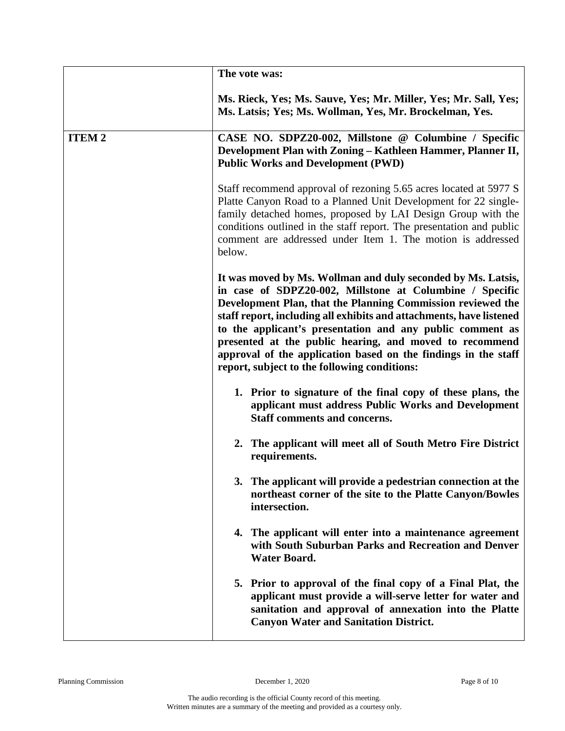|              | The vote was:                                                                                                                                                                                                                                                                                                                                                                                                                                                                                            |
|--------------|----------------------------------------------------------------------------------------------------------------------------------------------------------------------------------------------------------------------------------------------------------------------------------------------------------------------------------------------------------------------------------------------------------------------------------------------------------------------------------------------------------|
|              | Ms. Rieck, Yes; Ms. Sauve, Yes; Mr. Miller, Yes; Mr. Sall, Yes;<br>Ms. Latsis; Yes; Ms. Wollman, Yes, Mr. Brockelman, Yes.                                                                                                                                                                                                                                                                                                                                                                               |
| <b>ITEM2</b> | CASE NO. SDPZ20-002, Millstone @ Columbine / Specific<br>Development Plan with Zoning - Kathleen Hammer, Planner II,<br><b>Public Works and Development (PWD)</b>                                                                                                                                                                                                                                                                                                                                        |
|              | Staff recommend approval of rezoning 5.65 acres located at 5977 S<br>Platte Canyon Road to a Planned Unit Development for 22 single-<br>family detached homes, proposed by LAI Design Group with the<br>conditions outlined in the staff report. The presentation and public<br>comment are addressed under Item 1. The motion is addressed<br>below.                                                                                                                                                    |
|              | It was moved by Ms. Wollman and duly seconded by Ms. Latsis,<br>in case of SDPZ20-002, Millstone at Columbine / Specific<br>Development Plan, that the Planning Commission reviewed the<br>staff report, including all exhibits and attachments, have listened<br>to the applicant's presentation and any public comment as<br>presented at the public hearing, and moved to recommend<br>approval of the application based on the findings in the staff<br>report, subject to the following conditions: |
|              | 1. Prior to signature of the final copy of these plans, the<br>applicant must address Public Works and Development<br><b>Staff comments and concerns.</b>                                                                                                                                                                                                                                                                                                                                                |
|              | 2. The applicant will meet all of South Metro Fire District<br>requirements.                                                                                                                                                                                                                                                                                                                                                                                                                             |
|              | 3. The applicant will provide a pedestrian connection at the<br>northeast corner of the site to the Platte Canyon/Bowles<br>intersection.                                                                                                                                                                                                                                                                                                                                                                |
|              | 4. The applicant will enter into a maintenance agreement<br>with South Suburban Parks and Recreation and Denver<br><b>Water Board.</b>                                                                                                                                                                                                                                                                                                                                                                   |
|              | 5. Prior to approval of the final copy of a Final Plat, the<br>applicant must provide a will-serve letter for water and<br>sanitation and approval of annexation into the Platte<br><b>Canyon Water and Sanitation District.</b>                                                                                                                                                                                                                                                                         |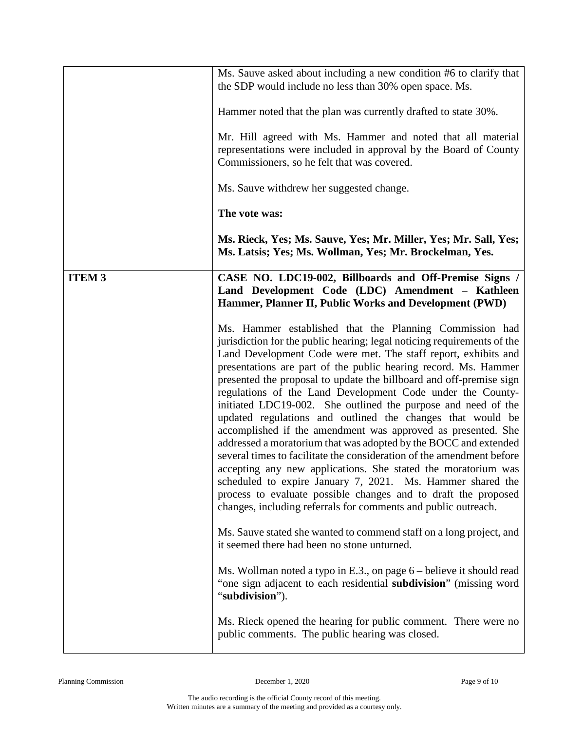|               | Ms. Sauve asked about including a new condition #6 to clarify that<br>the SDP would include no less than 30% open space. Ms.                                                                                                                                                                                                                                                                                                                                                                                                                                                                                                                                                                                                                                                                                                                                                                                                                                                                                                                                                                                                                      |
|---------------|---------------------------------------------------------------------------------------------------------------------------------------------------------------------------------------------------------------------------------------------------------------------------------------------------------------------------------------------------------------------------------------------------------------------------------------------------------------------------------------------------------------------------------------------------------------------------------------------------------------------------------------------------------------------------------------------------------------------------------------------------------------------------------------------------------------------------------------------------------------------------------------------------------------------------------------------------------------------------------------------------------------------------------------------------------------------------------------------------------------------------------------------------|
|               | Hammer noted that the plan was currently drafted to state 30%.                                                                                                                                                                                                                                                                                                                                                                                                                                                                                                                                                                                                                                                                                                                                                                                                                                                                                                                                                                                                                                                                                    |
|               | Mr. Hill agreed with Ms. Hammer and noted that all material<br>representations were included in approval by the Board of County<br>Commissioners, so he felt that was covered.                                                                                                                                                                                                                                                                                                                                                                                                                                                                                                                                                                                                                                                                                                                                                                                                                                                                                                                                                                    |
|               | Ms. Sauve withdrew her suggested change.                                                                                                                                                                                                                                                                                                                                                                                                                                                                                                                                                                                                                                                                                                                                                                                                                                                                                                                                                                                                                                                                                                          |
|               | The vote was:                                                                                                                                                                                                                                                                                                                                                                                                                                                                                                                                                                                                                                                                                                                                                                                                                                                                                                                                                                                                                                                                                                                                     |
|               | Ms. Rieck, Yes; Ms. Sauve, Yes; Mr. Miller, Yes; Mr. Sall, Yes;<br>Ms. Latsis; Yes; Ms. Wollman, Yes; Mr. Brockelman, Yes.                                                                                                                                                                                                                                                                                                                                                                                                                                                                                                                                                                                                                                                                                                                                                                                                                                                                                                                                                                                                                        |
| <b>ITEM 3</b> | CASE NO. LDC19-002, Billboards and Off-Premise Signs /<br>Land Development Code (LDC) Amendment - Kathleen<br>Hammer, Planner II, Public Works and Development (PWD)                                                                                                                                                                                                                                                                                                                                                                                                                                                                                                                                                                                                                                                                                                                                                                                                                                                                                                                                                                              |
|               | Ms. Hammer established that the Planning Commission had<br>jurisdiction for the public hearing; legal noticing requirements of the<br>Land Development Code were met. The staff report, exhibits and<br>presentations are part of the public hearing record. Ms. Hammer<br>presented the proposal to update the billboard and off-premise sign<br>regulations of the Land Development Code under the County-<br>initiated LDC19-002. She outlined the purpose and need of the<br>updated regulations and outlined the changes that would be<br>accomplished if the amendment was approved as presented. She<br>addressed a moratorium that was adopted by the BOCC and extended<br>several times to facilitate the consideration of the amendment before<br>accepting any new applications. She stated the moratorium was<br>scheduled to expire January 7, 2021. Ms. Hammer shared the<br>process to evaluate possible changes and to draft the proposed<br>changes, including referrals for comments and public outreach.<br>Ms. Sauve stated she wanted to commend staff on a long project, and<br>it seemed there had been no stone unturned. |
|               | Ms. Wollman noted a typo in E.3., on page $6$ – believe it should read<br>"one sign adjacent to each residential subdivision" (missing word<br>"subdivision").                                                                                                                                                                                                                                                                                                                                                                                                                                                                                                                                                                                                                                                                                                                                                                                                                                                                                                                                                                                    |
|               | Ms. Rieck opened the hearing for public comment. There were no<br>public comments. The public hearing was closed.                                                                                                                                                                                                                                                                                                                                                                                                                                                                                                                                                                                                                                                                                                                                                                                                                                                                                                                                                                                                                                 |